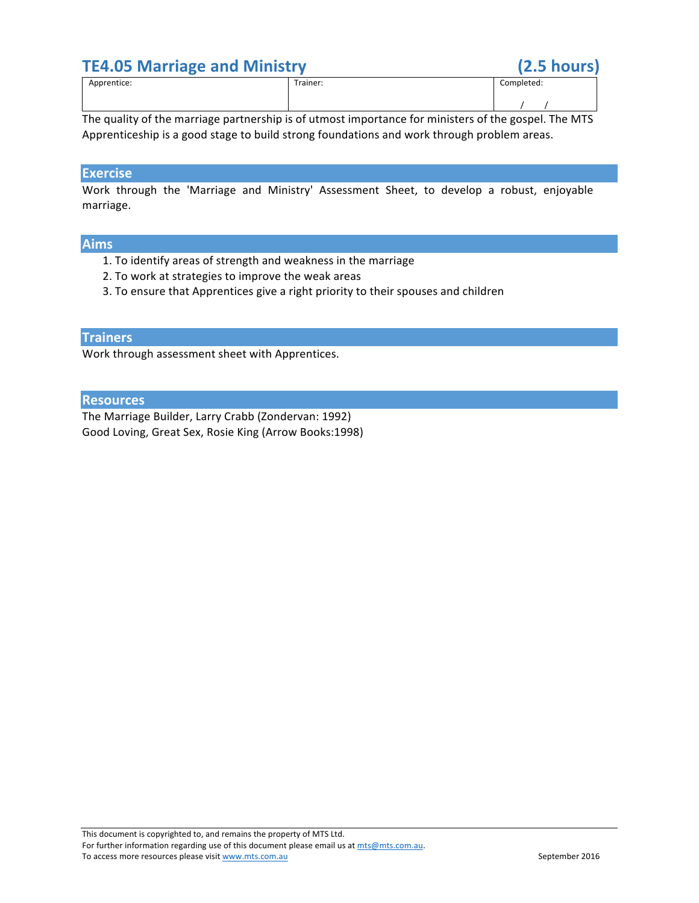# **TE4.05 Marriage and Ministry (2.5 hours)**

| . .         |          |            |
|-------------|----------|------------|
| Apprentice: | Trainer: | Completed: |
|             |          |            |

The quality of the marriage partnership is of utmost importance for ministers of the gospel. The MTS Apprenticeship is a good stage to build strong foundations and work through problem areas.

# **Exercise**

Work through the 'Marriage and Ministry' Assessment Sheet, to develop a robust, enjoyable marriage.

## **Aims**

- 1. To identify areas of strength and weakness in the marriage
- 2. To work at strategies to improve the weak areas
- 3. To ensure that Apprentices give a right priority to their spouses and children

#### **Trainers**

Work through assessment sheet with Apprentices.

## **Resources**

The Marriage Builder, Larry Crabb (Zondervan: 1992) Good Loving, Great Sex, Rosie King (Arrow Books:1998)